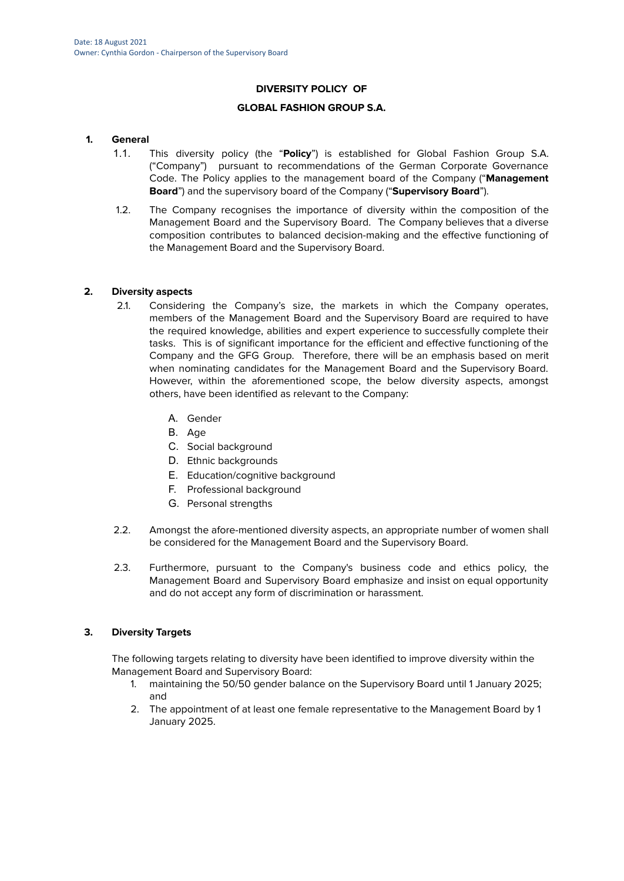# **DIVERSITY POLICY OF**

### **GLOBAL FASHION GROUP S.A.**

### **1. General**

- 1.1. This diversity policy (the "**Policy**") is established for Global Fashion Group S.A. ("Company") pursuant to recommendations of the German Corporate Governance Code. The Policy applies to the management board of the Company ("**Management Board**") and the supervisory board of the Company ("**Supervisory Board**").
- 1.2. The Company recognises the importance of diversity within the composition of the Management Board and the Supervisory Board. The Company believes that a diverse composition contributes to balanced decision-making and the effective functioning of the Management Board and the Supervisory Board.

## **2. Diversity aspects**

- 2.1. Considering the Company's size, the markets in which the Company operates, members of the Management Board and the Supervisory Board are required to have the required knowledge, abilities and expert experience to successfully complete their tasks. This is of significant importance for the efficient and effective functioning of the Company and the GFG Group. Therefore, there will be an emphasis based on merit when nominating candidates for the Management Board and the Supervisory Board. However, within the aforementioned scope, the below diversity aspects, amongst others, have been identified as relevant to the Company:
	- A. Gender
	- B. Age
	- C. Social background
	- D. Ethnic backgrounds
	- E. Education/cognitive background
	- F. Professional background
	- G. Personal strengths
- 2.2. Amongst the afore-mentioned diversity aspects, an appropriate number of women shall be considered for the Management Board and the Supervisory Board.
- 2.3. Furthermore, pursuant to the Company's business code and ethics policy, the Management Board and Supervisory Board emphasize and insist on equal opportunity and do not accept any form of discrimination or harassment.

### **3. Diversity Targets**

The following targets relating to diversity have been identified to improve diversity within the Management Board and Supervisory Board:

- 1. maintaining the 50/50 gender balance on the Supervisory Board until 1 January 2025; and
- 2. The appointment of at least one female representative to the Management Board by 1 January 2025.